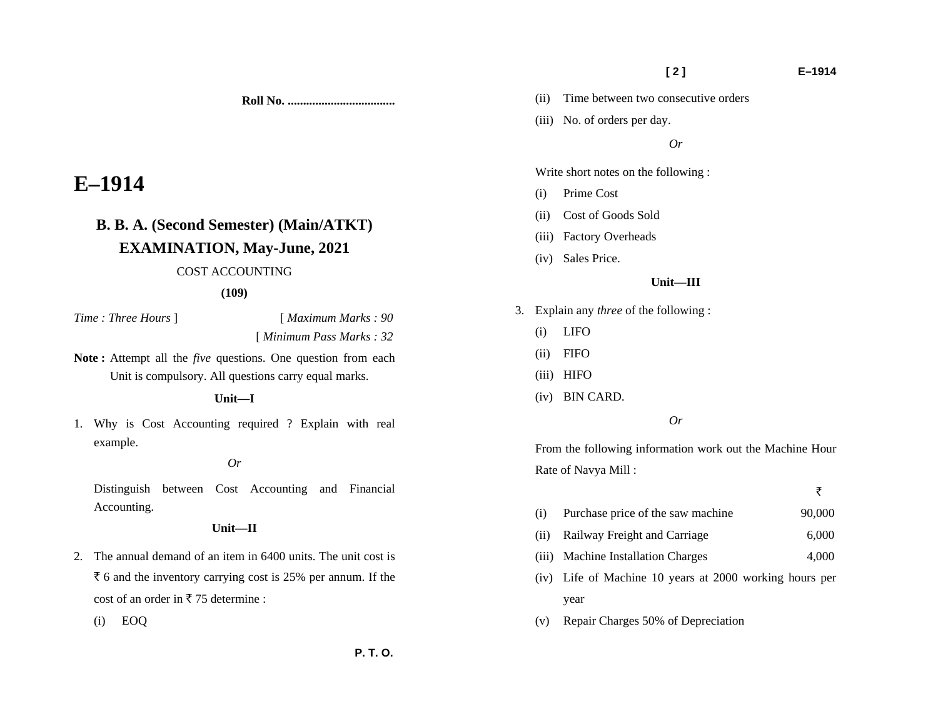## (ii) Cost of Goods Sold

Write short notes on the following :

(iii) No. of orders per day.

(ii) Time between two consecutive orders

- (iii) Factory Overheads
- (iv) Sales Price.

(i) Prime Cost

#### **Unit—III**

*Or* 

- 3. Explain any *three* of the following :
	- (i) LIFO
	- (ii) FIFO
	- (iii) HIFO
	- (iv) BIN CARD.

### *Or*

From the following information work out the Machine Hour Rate of Navya Mill :

| (i) | Purchase price of the saw machine | 90,000 |
|-----|-----------------------------------|--------|
|     |                                   |        |

- (ii) Railway Freight and Carriage 6,000
- (iii) Machine Installation Charges 4,000
- (iv) Life of Machine 10 years at 2000 working hours per year
- (v) Repair Charges 50% of Depreciation

**Roll No. ...................................** 

# **E–1914**

## **B. B. A. (Second Semester) (Main/ATKT) EXAMINATION, May-June, 2021** COST ACCOUNTING

#### **(109)**

*Time : Three Hours* ] [ *Maximum Marks : 90* 

[ *Minimum Pass Marks : 32* 

**Note :** Attempt all the *five* questions. One question from each Unit is compulsory. All questions carry equal marks.

 **Unit—I** 

1. Why is Cost Accounting required ? Explain with real example.

#### *Or*

Distinguish between Cost Accounting and Financial Accounting.

#### **Unit—II**

2. The annual demand of an item in 6400 units. The unit cost is  $\bar{\tau}$  6 and the inventory carrying cost is 25% per annum. If the cost of an order in  $\overline{z}$  75 determine :

(i) EOQ

 **[ 2 ] E–1914** 

₹